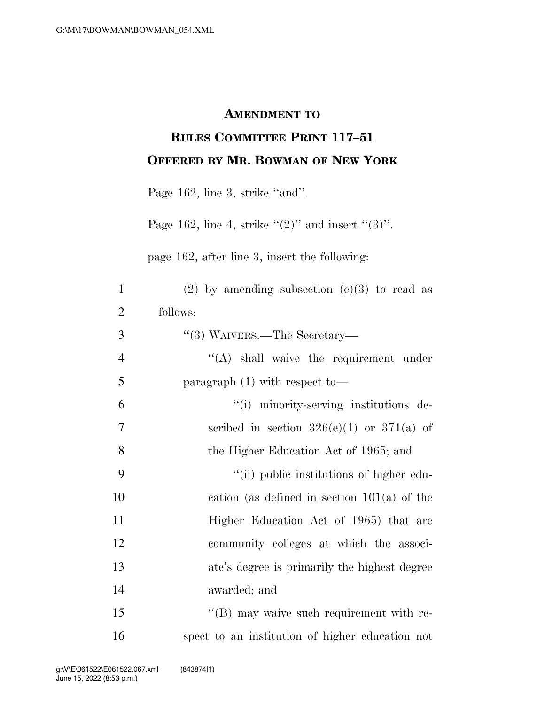## **AMENDMENT TO**

## **RULES COMMITTEE PRINT 117–51 OFFERED BY MR. BOWMAN OF NEW YORK**

Page 162, line 3, strike "and".

Page 162, line 4, strike  $\lq(2)$ " and insert  $\lq(3)$ ".

page 162, after line 3, insert the following:

| $\mathbf{1}$   | $(2)$ by amending subsection $(e)(3)$ to read as |
|----------------|--------------------------------------------------|
| $\overline{2}$ | follows:                                         |
| 3              | $\cdot\cdot$ (3) WAIVERS.—The Secretary—         |
| $\overline{4}$ | "(A) shall waive the requirement under           |
| 5              | paragraph $(1)$ with respect to-                 |
| 6              | "(i) minority-serving institutions de-           |
| 7              | scribed in section $326(e)(1)$ or $371(a)$ of    |
| 8              | the Higher Education Act of 1965; and            |
| 9              | "(ii) public institutions of higher edu-         |
| 10             | cation (as defined in section $101(a)$ of the    |
| 11             | Higher Education Act of 1965) that are           |
| 12             | community colleges at which the associ-          |
| 13             | ate's degree is primarily the highest degree     |
| 14             | awarded; and                                     |
| 15             | "(B) may waive such requirement with re-         |
| 16             | spect to an institution of higher education not  |